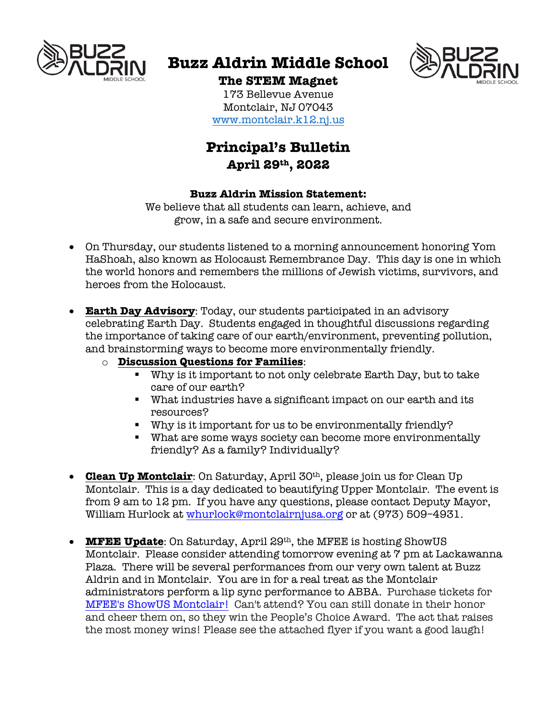

# **Buzz Aldrin Middle School**



## **The STEM Magnet**

173 Bellevue Avenue Montclair, NJ 07043 www.montclair.k12.nj.us

# **Principal's Bulletin April 29th, 2022**

#### **Buzz Aldrin Mission Statement:**

We believe that all students can learn, achieve, and grow, in a safe and secure environment.

- On Thursday, our students listened to a morning announcement honoring Yom HaShoah, also known as Holocaust Remembrance Day. This day is one in which the world honors and remembers the millions of Jewish victims, survivors, and heroes from the Holocaust.
- **Earth Day Advisory**: Today, our students participated in an advisory celebrating Earth Day. Students engaged in thoughtful discussions regarding the importance of taking care of our earth/environment, preventing pollution, and brainstorming ways to become more environmentally friendly.
	- o **Discussion Questions for Families**:
		- § Why is it important to not only celebrate Earth Day, but to take care of our earth?
		- What industries have a significant impact on our earth and its resources?
		- § Why is it important for us to be environmentally friendly?
		- What are some ways society can become more environmentally friendly? As a family? Individually?
- **Clean Up Montclair**: On Saturday, April 30th, please join us for Clean Up Montclair. This is a day dedicated to beautifying Upper Montclair. The event is from 9 am to 12 pm. If you have any questions, please contact Deputy Mayor, William Hurlock at whurlock@montclairnjusa.org or at (973) 509-4931.
- **MFEE Update**: On Saturday, April 29th, the MFEE is hosting ShowUS Montclair. Please consider attending tomorrow evening at 7 pm at Lackawanna Plaza. There will be several performances from our very own talent at Buzz Aldrin and in Montclair. You are in for a real treat as the Montclair administrators perform a lip sync performance to ABBA. Purchase tickets for MFEE's ShowUS Montclair! Can't attend? You can still donate in their honor and cheer them on, so they win the People's Choice Award. The act that raises the most money wins! Please see the attached flyer if you want a good laugh!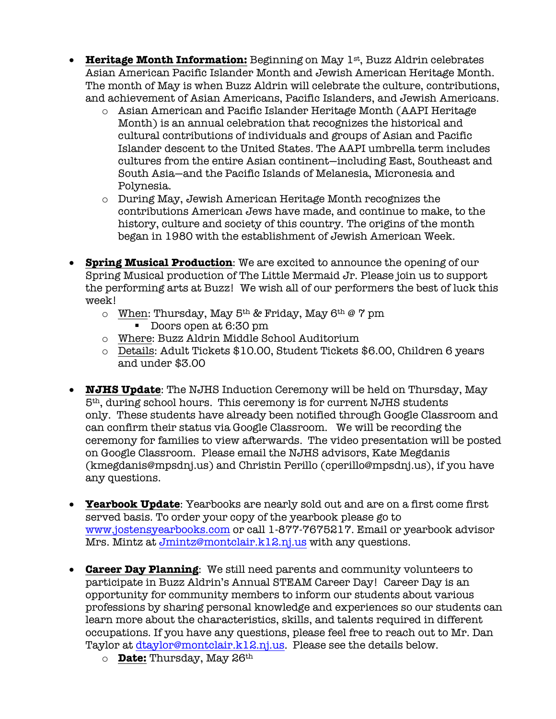- **Heritage Month Information:** Beginning on May 1st, Buzz Aldrin celebrates Asian American Pacific Islander Month and Jewish American Heritage Month. The month of May is when Buzz Aldrin will celebrate the culture, contributions, and achievement of Asian Americans, Pacific Islanders, and Jewish Americans.
	- o Asian American and Pacific Islander Heritage Month (AAPI Heritage Month) is an annual celebration that recognizes the historical and cultural contributions of individuals and groups of Asian and Pacific Islander descent to the United States. The AAPI umbrella term includes cultures from the entire Asian continent—including East, Southeast and South Asia—and the Pacific Islands of Melanesia, Micronesia and Polynesia.
	- o During May, Jewish American Heritage Month recognizes the contributions American Jews have made, and continue to make, to the history, culture and society of this country. The origins of the month began in 1980 with the establishment of Jewish American Week.
- **Spring Musical Production**: We are excited to announce the opening of our Spring Musical production of The Little Mermaid Jr. Please join us to support the performing arts at Buzz! We wish all of our performers the best of luck this week!
	- $\circ$  When: Thursday, May 5<sup>th</sup> & Friday, May 6<sup>th</sup> @ 7 pm
		- Doors open at 6:30 pm
	- o Where: Buzz Aldrin Middle School Auditorium
	- o Details: Adult Tickets \$10.00, Student Tickets \$6.00, Children 6 years and under \$3.00
- **NJHS Update**: The NJHS Induction Ceremony will be held on Thursday, May 5th, during school hours. This ceremony is for current NJHS students only. These students have already been notified through Google Classroom and can confirm their status via Google Classroom. We will be recording the ceremony for families to view afterwards. The video presentation will be posted on Google Classroom. Please email the NJHS advisors, Kate Megdanis (kmegdanis@mpsdnj.us) and Christin Perillo (cperillo@mpsdnj.us), if you have any questions.
- **Yearbook Update**: Yearbooks are nearly sold out and are on a first come first served basis. To order your copy of the yearbook please go to www.jostensyearbooks.com or call 1-877-7675217. Email or yearbook advisor Mrs. Mintz at Jmintz@montclair.k12.nj.us with any questions.
- **Career Day Planning**: We still need parents and community volunteers to participate in Buzz Aldrin's Annual STEAM Career Day! Career Day is an opportunity for community members to inform our students about various professions by sharing personal knowledge and experiences so our students can learn more about the characteristics, skills, and talents required in different occupations. If you have any questions, please feel free to reach out to Mr. Dan Taylor at dtaylor@montclair.k12.nj.us. Please see the details below.
	- o **Date:** Thursday, May 26th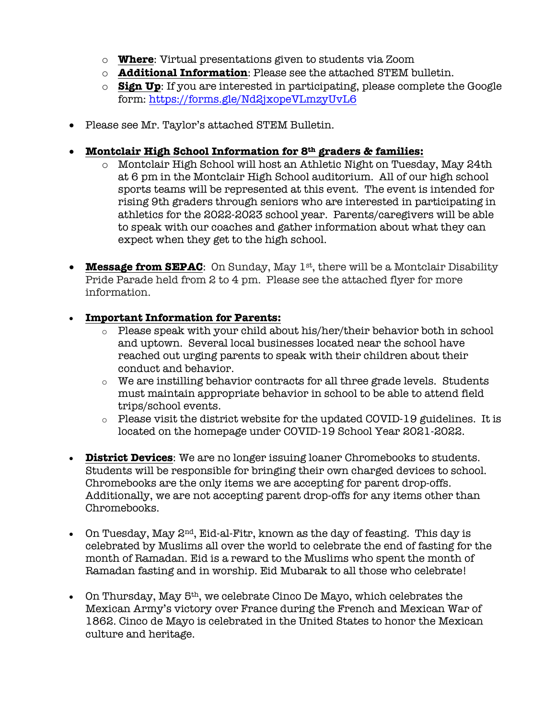- o **Where**: Virtual presentations given to students via Zoom
- o **Additional Information**: Please see the attached STEM bulletin.
- o **Sign Up**: If you are interested in participating, please complete the Google form: https://forms.gle/Nd2jxopeVLmzyUvL6
- Please see Mr. Taylor's attached STEM Bulletin.
- **Montclair High School Information for 8th graders & families:**
	- o Montclair High School will host an Athletic Night on Tuesday, May 24th at 6 pm in the Montclair High School auditorium. All of our high school sports teams will be represented at this event. The event is intended for rising 9th graders through seniors who are interested in participating in athletics for the 2022-2023 school year. Parents/caregivers will be able to speak with our coaches and gather information about what they can expect when they get to the high school.
- **Message from SEPAC**: On Sunday, May 1<sup>st</sup>, there will be a Montclair Disability Pride Parade held from 2 to 4 pm. Please see the attached flyer for more information.

### • **Important Information for Parents:**

- o Please speak with your child about his/her/their behavior both in school and uptown. Several local businesses located near the school have reached out urging parents to speak with their children about their conduct and behavior.
- $\circ$  We are instilling behavior contracts for all three grade levels. Students must maintain appropriate behavior in school to be able to attend field trips/school events.
- o Please visit the district website for the updated COVID-19 guidelines. It is located on the homepage under COVID-19 School Year 2021-2022.
- **District Devices**: We are no longer issuing loaner Chromebooks to students. Students will be responsible for bringing their own charged devices to school. Chromebooks are the only items we are accepting for parent drop-offs. Additionally, we are not accepting parent drop-offs for any items other than Chromebooks.
- On Tuesday, May  $2^{nd}$ , Eid-al-Fitr, known as the day of feasting. This day is celebrated by Muslims all over the world to celebrate the end of fasting for the month of Ramadan. Eid is a reward to the Muslims who spent the month of Ramadan fasting and in worship. Eid Mubarak to all those who celebrate!
- On Thursday, May  $5<sup>th</sup>$ , we celebrate Cinco De Mayo, which celebrates the Mexican Army's victory over France during the French and Mexican War of 1862. Cinco de Mayo is celebrated in the United States to honor the Mexican culture and heritage.